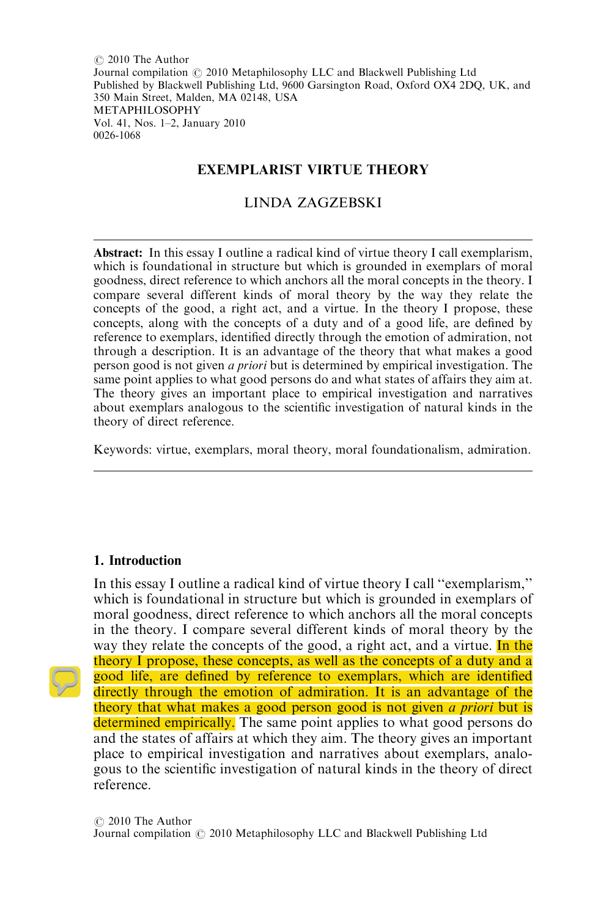$\odot$  2010 The Author Journal compilation  $\odot$  2010 Metaphilosophy LLC and Blackwell Publishing Ltd Published by Blackwell Publishing Ltd, 9600 Garsington Road, Oxford OX4 2DQ, UK, and 350 Main Street, Malden, MA 02148, USA METAPHILOSOPHY Vol. 41, Nos. 1–2, January 2010 0026-1068

# EXEMPLARIST VIRTUE THEORY

# LINDA ZAGZEBSKI

Abstract: In this essay I outline a radical kind of virtue theory I call exemplarism, which is foundational in structure but which is grounded in exemplars of moral goodness, direct reference to which anchors all the moral concepts in the theory. I compare several different kinds of moral theory by the way they relate the concepts of the good, a right act, and a virtue. In the theory I propose, these concepts, along with the concepts of a duty and of a good life, are defined by reference to exemplars, identified directly through the emotion of admiration, not through a description. It is an advantage of the theory that what makes a good person good is not given a priori but is determined by empirical investigation. The same point applies to what good persons do and what states of affairs they aim at. The theory gives an important place to empirical investigation and narratives about exemplars analogous to the scientific investigation of natural kinds in the theory of direct reference.

Keywords: virtue, exemplars, moral theory, moral foundationalism, admiration.

# 1. Introduction

In this essay I outline a radical kind of virtue theory I call ''exemplarism,'' which is foundational in structure but which is grounded in exemplars of moral goodness, direct reference to which anchors all the moral concepts in the theory. I compare several different kinds of moral theory by the way they relate the concepts of the good, a right act, and a virtue. In the theory I propose, these concepts, as well as the concepts of a duty and a good life, are defined by reference to exemplars, which are identified directly through the emotion of admiration. It is an advantage of the theory that what makes a good person good is not given *a priori* but is determined empirically. The same point applies to what good persons do and the states of affairs at which they aim. The theory gives an important place to empirical investigation and narratives about exemplars, analogous to the scientific investigation of natural kinds in the theory of direct reference.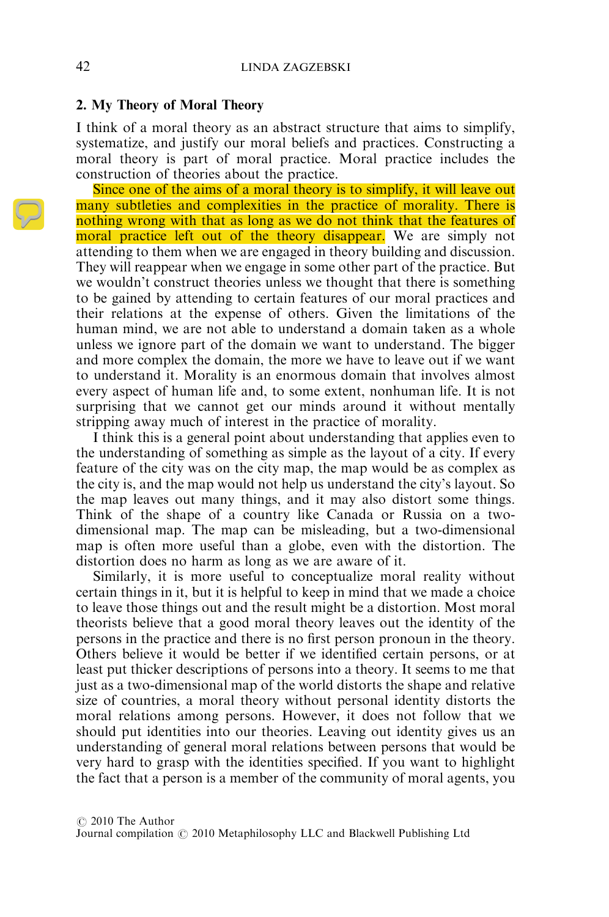#### 2. My Theory of Moral Theory

I think of a moral theory as an abstract structure that aims to simplify, systematize, and justify our moral beliefs and practices. Constructing a moral theory is part of moral practice. Moral practice includes the construction of theories about the practice.

Since one of the aims of a moral theory is to simplify, it will leave out many subtleties and complexities in the practice of morality. There is nothing wrong with that as long as we do not think that the features of moral practice left out of the theory disappear. We are simply not attending to them when we are engaged in theory building and discussion. They will reappear when we engage in some other part of the practice. But we wouldn't construct theories unless we thought that there is something to be gained by attending to certain features of our moral practices and their relations at the expense of others. Given the limitations of the human mind, we are not able to understand a domain taken as a whole unless we ignore part of the domain we want to understand. The bigger and more complex the domain, the more we have to leave out if we want to understand it. Morality is an enormous domain that involves almost every aspect of human life and, to some extent, nonhuman life. It is not surprising that we cannot get our minds around it without mentally stripping away much of interest in the practice of morality.

I think this is a general point about understanding that applies even to the understanding of something as simple as the layout of a city. If every feature of the city was on the city map, the map would be as complex as the city is, and the map would not help us understand the city's layout. So the map leaves out many things, and it may also distort some things. Think of the shape of a country like Canada or Russia on a twodimensional map. The map can be misleading, but a two-dimensional map is often more useful than a globe, even with the distortion. The distortion does no harm as long as we are aware of it.

Similarly, it is more useful to conceptualize moral reality without certain things in it, but it is helpful to keep in mind that we made a choice to leave those things out and the result might be a distortion. Most moral theorists believe that a good moral theory leaves out the identity of the persons in the practice and there is no first person pronoun in the theory. Others believe it would be better if we identified certain persons, or at least put thicker descriptions of persons into a theory. It seems to me that just as a two-dimensional map of the world distorts the shape and relative size of countries, a moral theory without personal identity distorts the moral relations among persons. However, it does not follow that we should put identities into our theories. Leaving out identity gives us an understanding of general moral relations between persons that would be very hard to grasp with the identities specified. If you want to highlight the fact that a person is a member of the community of moral agents, you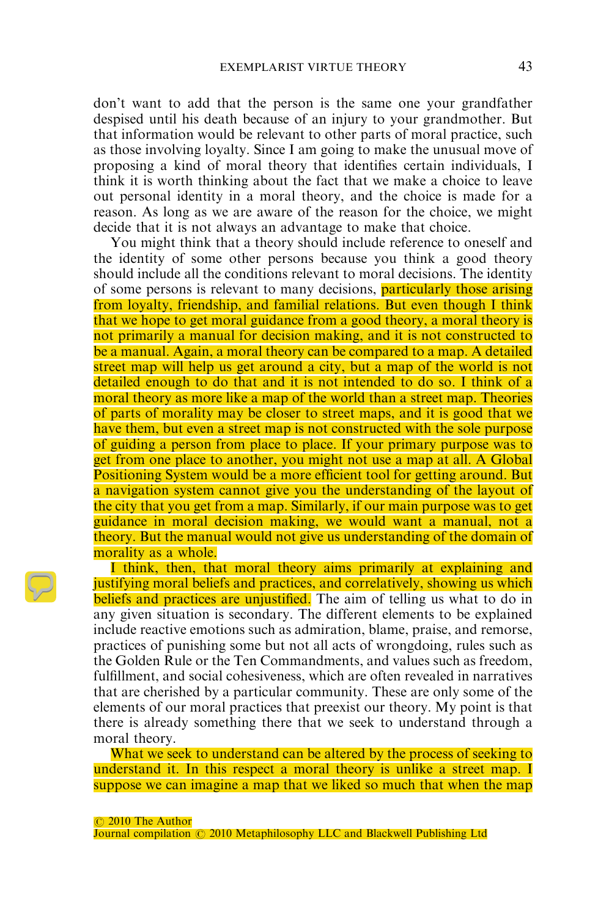don't want to add that the person is the same one your grandfather despised until his death because of an injury to your grandmother. But that information would be relevant to other parts of moral practice, such as those involving loyalty. Since I am going to make the unusual move of proposing a kind of moral theory that identifies certain individuals, I think it is worth thinking about the fact that we make a choice to leave out personal identity in a moral theory, and the choice is made for a reason. As long as we are aware of the reason for the choice, we might decide that it is not always an advantage to make that choice.

You might think that a theory should include reference to oneself and the identity of some other persons because you think a good theory should include all the conditions relevant to moral decisions. The identity of some persons is relevant to many decisions, **particularly those arising** from loyalty, friendship, and familial relations. But even though I think that we hope to get moral guidance from a good theory, a moral theory is not primarily a manual for decision making, and it is not constructed to be a manual. Again, a moral theory can be compared to a map. A detailed street map will help us get around a city, but a map of the world is not detailed enough to do that and it is not intended to do so. I think of a moral theory as more like a map of the world than a street map. Theories of parts of morality may be closer to street maps, and it is good that we have them, but even a street map is not constructed with the sole purpose of guiding a person from place to place. If your primary purpose was to get from one place to another, you might not use a map at all. A Global Positioning System would be a more efficient tool for getting around. But a navigation system cannot give you the understanding of the layout of the city that you get from a map. Similarly, if our main purpose was to get guidance in moral decision making, we would want a manual, not a theory. But the manual would not give us understanding of the domain of morality as a whole.

I think, then, that moral theory aims primarily at explaining and justifying moral beliefs and practices, and correlatively, showing us which beliefs and practices are unjustified. The aim of telling us what to do in any given situation is secondary. The different elements to be explained include reactive emotions such as admiration, blame, praise, and remorse, practices of punishing some but not all acts of wrongdoing, rules such as the Golden Rule or the Ten Commandments, and values such as freedom, fulfillment, and social cohesiveness, which are often revealed in narratives that are cherished by a particular community. These are only some of the elements of our moral practices that preexist our theory. My point is that there is already something there that we seek to understand through a moral theory.

What we seek to understand can be altered by the process of seeking to understand it. In this respect a moral theory is unlike a street map. I suppose we can imagine a map that we liked so much that when the map

 $\circ$  2010 The Author

Journal compilation © 2010 Metaphilosophy LLC and Blackwell Publishing Ltd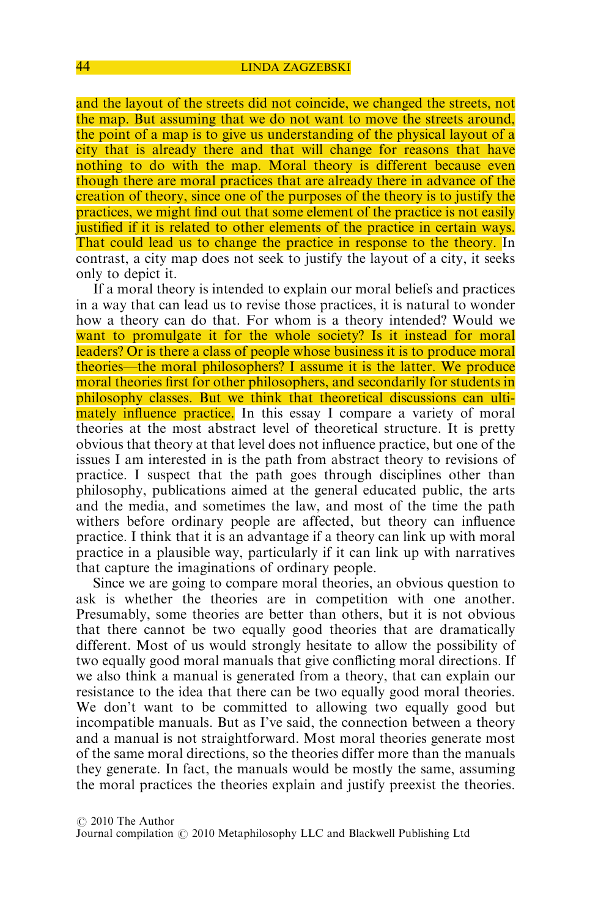and the layout of the streets did not coincide, we changed the streets, not the map. But assuming that we do not want to move the streets around, the point of a map is to give us understanding of the physical layout of a city that is already there and that will change for reasons that have nothing to do with the map. Moral theory is different because even though there are moral practices that are already there in advance of the creation of theory, since one of the purposes of the theory is to justify the practices, we might find out that some element of the practice is not easily justified if it is related to other elements of the practice in certain ways. That could lead us to change the practice in response to the theory. In contrast, a city map does not seek to justify the layout of a city, it seeks only to depict it.

If a moral theory is intended to explain our moral beliefs and practices in a way that can lead us to revise those practices, it is natural to wonder how a theory can do that. For whom is a theory intended? Would we want to promulgate it for the whole society? Is it instead for moral leaders? Or is there a class of people whose business it is to produce moral theories—the moral philosophers? I assume it is the latter. We produce moral theories first for other philosophers, and secondarily for students in philosophy classes. But we think that theoretical discussions can ultimately influence practice. In this essay I compare a variety of moral theories at the most abstract level of theoretical structure. It is pretty obvious that theory at that level does not influence practice, but one of the issues I am interested in is the path from abstract theory to revisions of practice. I suspect that the path goes through disciplines other than philosophy, publications aimed at the general educated public, the arts and the media, and sometimes the law, and most of the time the path withers before ordinary people are affected, but theory can influence practice. I think that it is an advantage if a theory can link up with moral practice in a plausible way, particularly if it can link up with narratives that capture the imaginations of ordinary people.

Since we are going to compare moral theories, an obvious question to ask is whether the theories are in competition with one another. Presumably, some theories are better than others, but it is not obvious that there cannot be two equally good theories that are dramatically different. Most of us would strongly hesitate to allow the possibility of two equally good moral manuals that give conflicting moral directions. If we also think a manual is generated from a theory, that can explain our resistance to the idea that there can be two equally good moral theories. We don't want to be committed to allowing two equally good but incompatible manuals. But as I've said, the connection between a theory and a manual is not straightforward. Most moral theories generate most of the same moral directions, so the theories differ more than the manuals they generate. In fact, the manuals would be mostly the same, assuming the moral practices the theories explain and justify preexist the theories.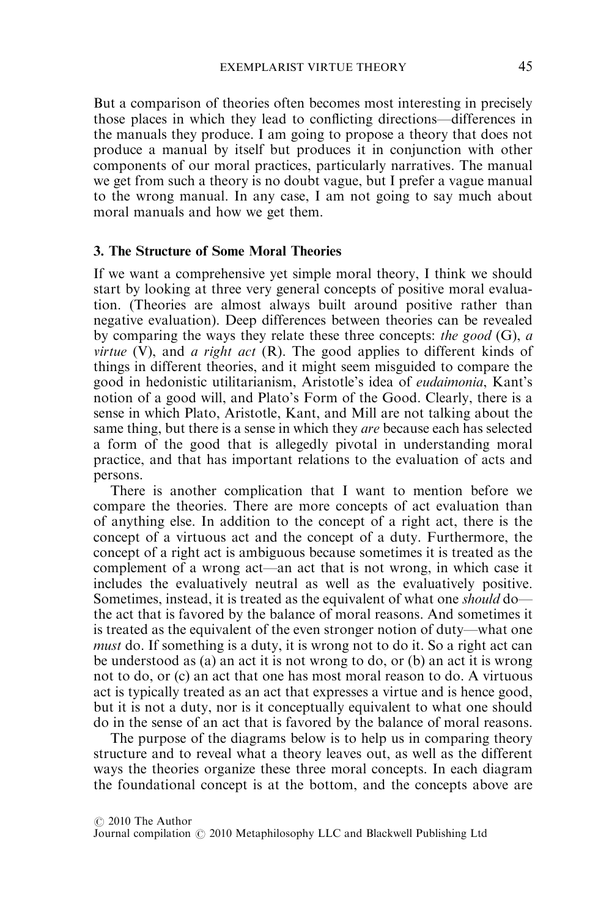But a comparison of theories often becomes most interesting in precisely those places in which they lead to conflicting directions—differences in the manuals they produce. I am going to propose a theory that does not produce a manual by itself but produces it in conjunction with other components of our moral practices, particularly narratives. The manual we get from such a theory is no doubt vague, but I prefer a vague manual to the wrong manual. In any case, I am not going to say much about moral manuals and how we get them.

# 3. The Structure of Some Moral Theories

If we want a comprehensive yet simple moral theory, I think we should start by looking at three very general concepts of positive moral evaluation. (Theories are almost always built around positive rather than negative evaluation). Deep differences between theories can be revealed by comparing the ways they relate these three concepts: *the good*  $(G)$ , *a virtue* (V), and *a right act* (R). The good applies to different kinds of things in different theories, and it might seem misguided to compare the good in hedonistic utilitarianism, Aristotle's idea of eudaimonia, Kant's notion of a good will, and Plato's Form of the Good. Clearly, there is a sense in which Plato, Aristotle, Kant, and Mill are not talking about the same thing, but there is a sense in which they *are* because each has selected a form of the good that is allegedly pivotal in understanding moral practice, and that has important relations to the evaluation of acts and persons.

There is another complication that I want to mention before we compare the theories. There are more concepts of act evaluation than of anything else. In addition to the concept of a right act, there is the concept of a virtuous act and the concept of a duty. Furthermore, the concept of a right act is ambiguous because sometimes it is treated as the complement of a wrong act—an act that is not wrong, in which case it includes the evaluatively neutral as well as the evaluatively positive. Sometimes, instead, it is treated as the equivalent of what one should do the act that is favored by the balance of moral reasons. And sometimes it is treated as the equivalent of the even stronger notion of duty—what one must do. If something is a duty, it is wrong not to do it. So a right act can be understood as (a) an act it is not wrong to do, or (b) an act it is wrong not to do, or (c) an act that one has most moral reason to do. A virtuous act is typically treated as an act that expresses a virtue and is hence good, but it is not a duty, nor is it conceptually equivalent to what one should do in the sense of an act that is favored by the balance of moral reasons.

The purpose of the diagrams below is to help us in comparing theory structure and to reveal what a theory leaves out, as well as the different ways the theories organize these three moral concepts. In each diagram the foundational concept is at the bottom, and the concepts above are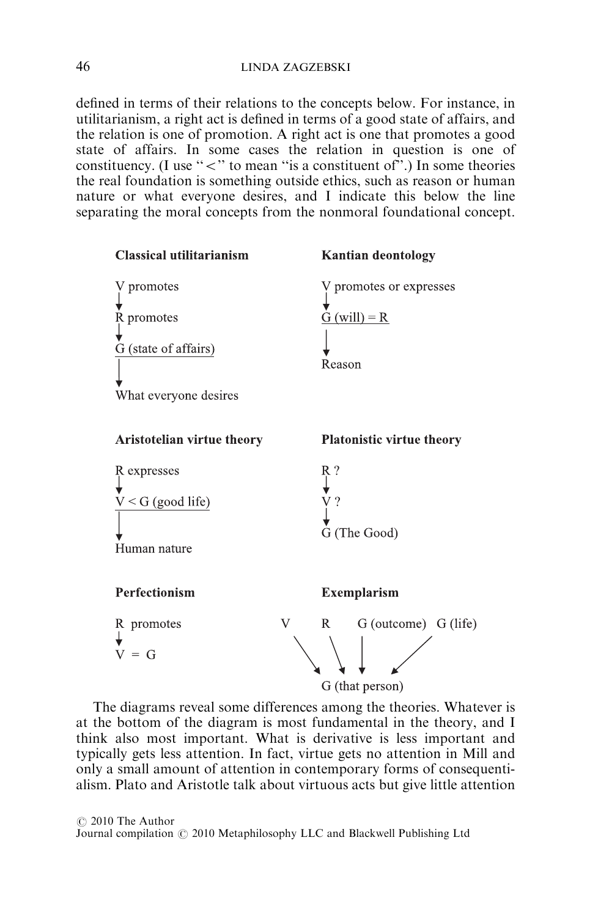defined in terms of their relations to the concepts below. For instance, in utilitarianism, a right act is defined in terms of a good state of affairs, and the relation is one of promotion. A right act is one that promotes a good state of affairs. In some cases the relation in question is one of constituency. (I use " $\lt$ " to mean "is a constituent of").) In some theories the real foundation is something outside ethics, such as reason or human nature or what everyone desires, and I indicate this below the line separating the moral concepts from the nonmoral foundational concept.



The diagrams reveal some differences among the theories. Whatever is at the bottom of the diagram is most fundamental in the theory, and I think also most important. What is derivative is less important and typically gets less attention. In fact, virtue gets no attention in Mill and only a small amount of attention in contemporary forms of consequentialism. Plato and Aristotle talk about virtuous acts but give little attention

 $\odot$  2010 The Author Journal compilation  $\oslash$  2010 Metaphilosophy LLC and Blackwell Publishing Ltd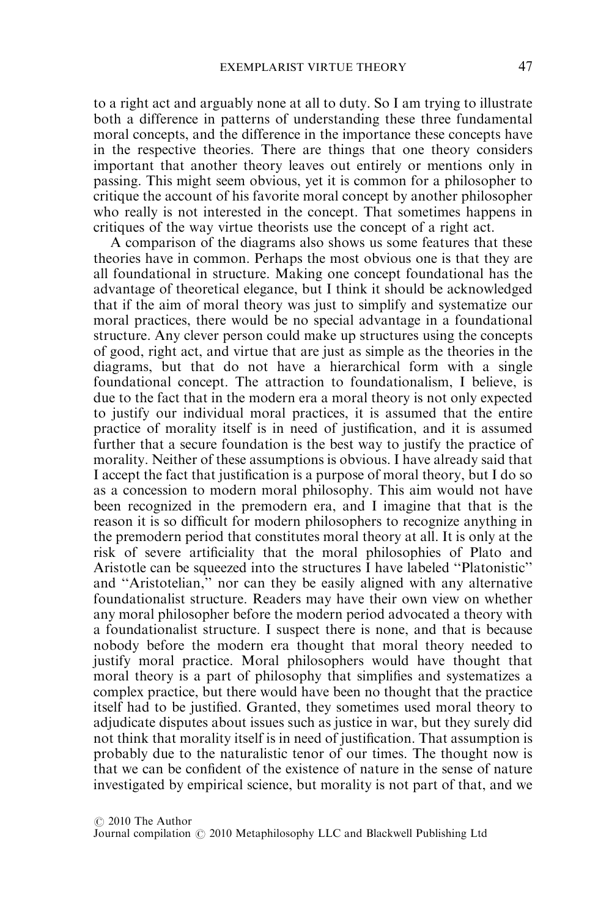to a right act and arguably none at all to duty. So I am trying to illustrate both a difference in patterns of understanding these three fundamental moral concepts, and the difference in the importance these concepts have in the respective theories. There are things that one theory considers important that another theory leaves out entirely or mentions only in passing. This might seem obvious, yet it is common for a philosopher to critique the account of his favorite moral concept by another philosopher who really is not interested in the concept. That sometimes happens in critiques of the way virtue theorists use the concept of a right act.

A comparison of the diagrams also shows us some features that these theories have in common. Perhaps the most obvious one is that they are all foundational in structure. Making one concept foundational has the advantage of theoretical elegance, but I think it should be acknowledged that if the aim of moral theory was just to simplify and systematize our moral practices, there would be no special advantage in a foundational structure. Any clever person could make up structures using the concepts of good, right act, and virtue that are just as simple as the theories in the diagrams, but that do not have a hierarchical form with a single foundational concept. The attraction to foundationalism, I believe, is due to the fact that in the modern era a moral theory is not only expected to justify our individual moral practices, it is assumed that the entire practice of morality itself is in need of justification, and it is assumed further that a secure foundation is the best way to justify the practice of morality. Neither of these assumptions is obvious. I have already said that I accept the fact that justification is a purpose of moral theory, but I do so as a concession to modern moral philosophy. This aim would not have been recognized in the premodern era, and I imagine that that is the reason it is so difficult for modern philosophers to recognize anything in the premodern period that constitutes moral theory at all. It is only at the risk of severe artificiality that the moral philosophies of Plato and Aristotle can be squeezed into the structures I have labeled ''Platonistic'' and ''Aristotelian,'' nor can they be easily aligned with any alternative foundationalist structure. Readers may have their own view on whether any moral philosopher before the modern period advocated a theory with a foundationalist structure. I suspect there is none, and that is because nobody before the modern era thought that moral theory needed to justify moral practice. Moral philosophers would have thought that moral theory is a part of philosophy that simplifies and systematizes a complex practice, but there would have been no thought that the practice itself had to be justified. Granted, they sometimes used moral theory to adjudicate disputes about issues such as justice in war, but they surely did not think that morality itself is in need of justification. That assumption is probably due to the naturalistic tenor of our times. The thought now is that we can be confident of the existence of nature in the sense of nature investigated by empirical science, but morality is not part of that, and we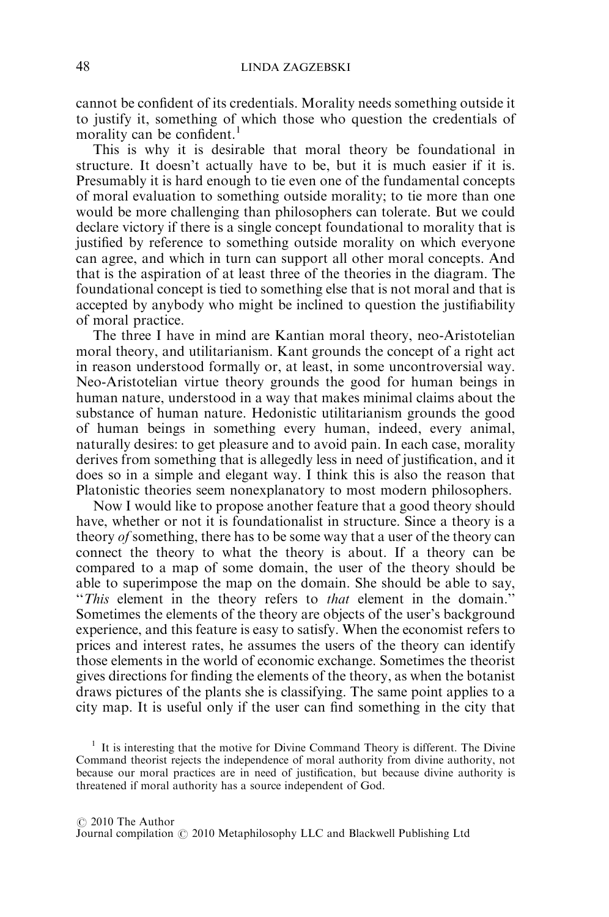cannot be confident of its credentials. Morality needs something outside it to justify it, something of which those who question the credentials of morality can be confident.<sup>1</sup>

This is why it is desirable that moral theory be foundational in structure. It doesn't actually have to be, but it is much easier if it is. Presumably it is hard enough to tie even one of the fundamental concepts of moral evaluation to something outside morality; to tie more than one would be more challenging than philosophers can tolerate. But we could declare victory if there is a single concept foundational to morality that is justified by reference to something outside morality on which everyone can agree, and which in turn can support all other moral concepts. And that is the aspiration of at least three of the theories in the diagram. The foundational concept is tied to something else that is not moral and that is accepted by anybody who might be inclined to question the justifiability of moral practice.

The three I have in mind are Kantian moral theory, neo-Aristotelian moral theory, and utilitarianism. Kant grounds the concept of a right act in reason understood formally or, at least, in some uncontroversial way. Neo-Aristotelian virtue theory grounds the good for human beings in human nature, understood in a way that makes minimal claims about the substance of human nature. Hedonistic utilitarianism grounds the good of human beings in something every human, indeed, every animal, naturally desires: to get pleasure and to avoid pain. In each case, morality derives from something that is allegedly less in need of justification, and it does so in a simple and elegant way. I think this is also the reason that Platonistic theories seem nonexplanatory to most modern philosophers.

Now I would like to propose another feature that a good theory should have, whether or not it is foundationalist in structure. Since a theory is a theory of something, there has to be some way that a user of the theory can connect the theory to what the theory is about. If a theory can be compared to a map of some domain, the user of the theory should be able to superimpose the map on the domain. She should be able to say, "This element in the theory refers to that element in the domain." Sometimes the elements of the theory are objects of the user's background experience, and this feature is easy to satisfy. When the economist refers to prices and interest rates, he assumes the users of the theory can identify those elements in the world of economic exchange. Sometimes the theorist gives directions for finding the elements of the theory, as when the botanist draws pictures of the plants she is classifying. The same point applies to a city map. It is useful only if the user can find something in the city that

 $<sup>1</sup>$  It is interesting that the motive for Divine Command Theory is different. The Divine</sup> Command theorist rejects the independence of moral authority from divine authority, not because our moral practices are in need of justification, but because divine authority is threatened if moral authority has a source independent of God.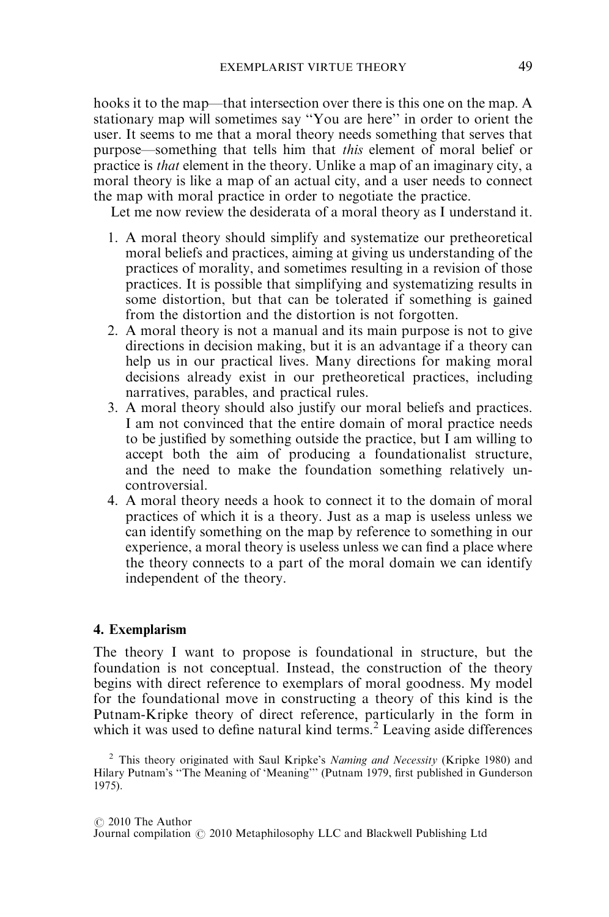hooks it to the map—that intersection over there is this one on the map. A stationary map will sometimes say ''You are here'' in order to orient the user. It seems to me that a moral theory needs something that serves that purpose—something that tells him that this element of moral belief or practice is that element in the theory. Unlike a map of an imaginary city, a moral theory is like a map of an actual city, and a user needs to connect the map with moral practice in order to negotiate the practice.

Let me now review the desiderata of a moral theory as I understand it.

- 1. A moral theory should simplify and systematize our pretheoretical moral beliefs and practices, aiming at giving us understanding of the practices of morality, and sometimes resulting in a revision of those practices. It is possible that simplifying and systematizing results in some distortion, but that can be tolerated if something is gained from the distortion and the distortion is not forgotten.
- 2. A moral theory is not a manual and its main purpose is not to give directions in decision making, but it is an advantage if a theory can help us in our practical lives. Many directions for making moral decisions already exist in our pretheoretical practices, including narratives, parables, and practical rules.
- 3. A moral theory should also justify our moral beliefs and practices. I am not convinced that the entire domain of moral practice needs to be justified by something outside the practice, but I am willing to accept both the aim of producing a foundationalist structure, and the need to make the foundation something relatively uncontroversial.
- 4. A moral theory needs a hook to connect it to the domain of moral practices of which it is a theory. Just as a map is useless unless we can identify something on the map by reference to something in our experience, a moral theory is useless unless we can find a place where the theory connects to a part of the moral domain we can identify independent of the theory.

#### 4. Exemplarism

The theory I want to propose is foundational in structure, but the foundation is not conceptual. Instead, the construction of the theory begins with direct reference to exemplars of moral goodness. My model for the foundational move in constructing a theory of this kind is the Putnam-Kripke theory of direct reference, particularly in the form in which it was used to define natural kind terms.<sup>2</sup> Leaving aside differences

 $2$  This theory originated with Saul Kripke's Naming and Necessity (Kripke 1980) and Hilary Putnam's ''The Meaning of 'Meaning''' (Putnam 1979, first published in Gunderson 1975).

 $\odot$  2010 The Author Journal compilation  $\odot$  2010 Metaphilosophy LLC and Blackwell Publishing Ltd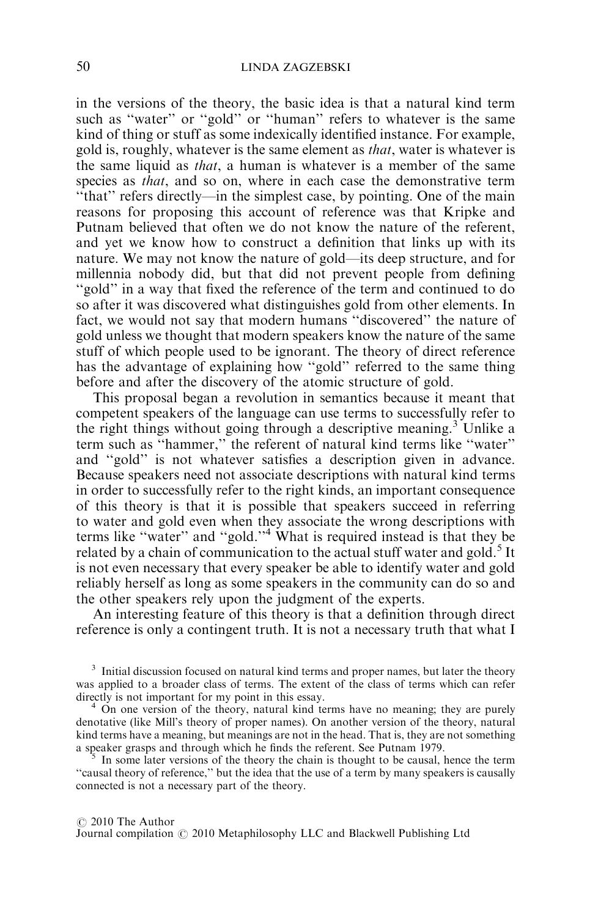#### 50 LINDA ZAGZEBSKI

in the versions of the theory, the basic idea is that a natural kind term such as ''water'' or ''gold'' or ''human'' refers to whatever is the same kind of thing or stuff as some indexically identified instance. For example, gold is, roughly, whatever is the same element as that, water is whatever is the same liquid as that, a human is whatever is a member of the same species as *that*, and so on, where in each case the demonstrative term ''that'' refers directly—in the simplest case, by pointing. One of the main reasons for proposing this account of reference was that Kripke and Putnam believed that often we do not know the nature of the referent, and yet we know how to construct a definition that links up with its nature. We may not know the nature of gold—its deep structure, and for millennia nobody did, but that did not prevent people from defining ''gold'' in a way that fixed the reference of the term and continued to do so after it was discovered what distinguishes gold from other elements. In fact, we would not say that modern humans ''discovered'' the nature of gold unless we thought that modern speakers know the nature of the same stuff of which people used to be ignorant. The theory of direct reference has the advantage of explaining how ''gold'' referred to the same thing before and after the discovery of the atomic structure of gold.

This proposal began a revolution in semantics because it meant that competent speakers of the language can use terms to successfully refer to the right things without going through a descriptive meaning.<sup>3</sup> Unlike a term such as ''hammer,'' the referent of natural kind terms like ''water'' and ''gold'' is not whatever satisfies a description given in advance. Because speakers need not associate descriptions with natural kind terms in order to successfully refer to the right kinds, an important consequence of this theory is that it is possible that speakers succeed in referring to water and gold even when they associate the wrong descriptions with terms like ''water'' and ''gold.''4 What is required instead is that they be related by a chain of communication to the actual stuff water and gold.<sup>5</sup> It is not even necessary that every speaker be able to identify water and gold reliably herself as long as some speakers in the community can do so and the other speakers rely upon the judgment of the experts.

An interesting feature of this theory is that a definition through direct reference is only a contingent truth. It is not a necessary truth that what I

<sup>3</sup> Initial discussion focused on natural kind terms and proper names, but later the theory was applied to a broader class of terms. The extent of the class of terms which can refer directly is not important for my point in this essay.

<sup>4</sup> On one version of the theory, natural kind terms have no meaning; they are purely denotative (like Mill's theory of proper names). On another version of the theory, natural kind terms have a meaning, but meanings are not in the head. That is, they are not something a speaker grasps and through which he finds the referent. See Putnam 1979.

In some later versions of the theory the chain is thought to be causal, hence the term ''causal theory of reference,'' but the idea that the use of a term by many speakers is causally connected is not a necessary part of the theory.

Journal compilation  $\odot$  2010 Metaphilosophy LLC and Blackwell Publishing Ltd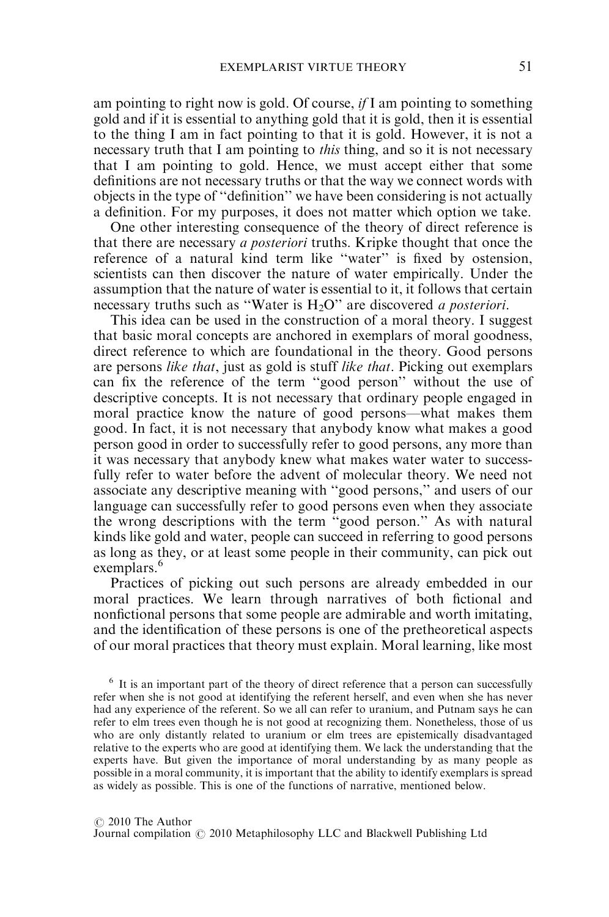am pointing to right now is gold. Of course,  $if I$  am pointing to something gold and if it is essential to anything gold that it is gold, then it is essential to the thing I am in fact pointing to that it is gold. However, it is not a necessary truth that I am pointing to this thing, and so it is not necessary that I am pointing to gold. Hence, we must accept either that some definitions are not necessary truths or that the way we connect words with objects in the type of ''definition'' we have been considering is not actually a definition. For my purposes, it does not matter which option we take.

One other interesting consequence of the theory of direct reference is that there are necessary a posteriori truths. Kripke thought that once the reference of a natural kind term like ''water'' is fixed by ostension, scientists can then discover the nature of water empirically. Under the assumption that the nature of water is essential to it, it follows that certain necessary truths such as "Water is  $H_2O$ " are discovered a posteriori.

This idea can be used in the construction of a moral theory. I suggest that basic moral concepts are anchored in exemplars of moral goodness, direct reference to which are foundational in the theory. Good persons are persons like that, just as gold is stuff like that. Picking out exemplars can fix the reference of the term ''good person'' without the use of descriptive concepts. It is not necessary that ordinary people engaged in moral practice know the nature of good persons—what makes them good. In fact, it is not necessary that anybody know what makes a good person good in order to successfully refer to good persons, any more than it was necessary that anybody knew what makes water water to successfully refer to water before the advent of molecular theory. We need not associate any descriptive meaning with ''good persons,'' and users of our language can successfully refer to good persons even when they associate the wrong descriptions with the term ''good person.'' As with natural kinds like gold and water, people can succeed in referring to good persons as long as they, or at least some people in their community, can pick out exemplars.<sup>6</sup>

Practices of picking out such persons are already embedded in our moral practices. We learn through narratives of both fictional and nonfictional persons that some people are admirable and worth imitating, and the identification of these persons is one of the pretheoretical aspects of our moral practices that theory must explain. Moral learning, like most

<sup>6</sup> It is an important part of the theory of direct reference that a person can successfully refer when she is not good at identifying the referent herself, and even when she has never had any experience of the referent. So we all can refer to uranium, and Putnam says he can refer to elm trees even though he is not good at recognizing them. Nonetheless, those of us who are only distantly related to uranium or elm trees are epistemically disadvantaged relative to the experts who are good at identifying them. We lack the understanding that the experts have. But given the importance of moral understanding by as many people as possible in a moral community, it is important that the ability to identify exemplars is spread as widely as possible. This is one of the functions of narrative, mentioned below.

 $\odot$  2010 The Author Journal compilation  $\odot$  2010 Metaphilosophy LLC and Blackwell Publishing Ltd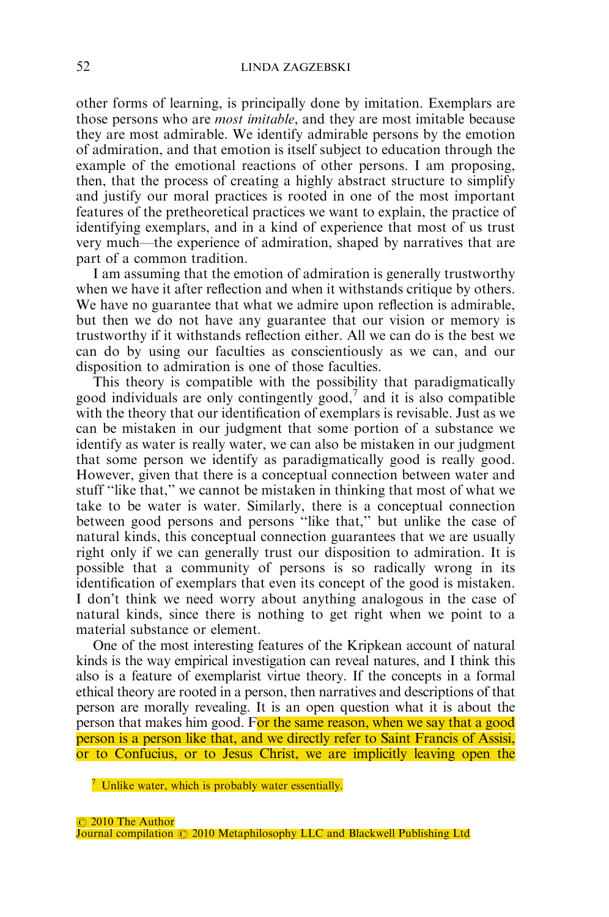other forms of learning, is principally done by imitation. Exemplars are those persons who are most imitable, and they are most imitable because they are most admirable. We identify admirable persons by the emotion of admiration, and that emotion is itself subject to education through the example of the emotional reactions of other persons. I am proposing, then, that the process of creating a highly abstract structure to simplify and justify our moral practices is rooted in one of the most important features of the pretheoretical practices we want to explain, the practice of identifying exemplars, and in a kind of experience that most of us trust very much—the experience of admiration, shaped by narratives that are part of a common tradition.

I am assuming that the emotion of admiration is generally trustworthy when we have it after reflection and when it withstands critique by others. We have no guarantee that what we admire upon reflection is admirable, but then we do not have any guarantee that our vision or memory is trustworthy if it withstands reflection either. All we can do is the best we can do by using our faculties as conscientiously as we can, and our disposition to admiration is one of those faculties.

This theory is compatible with the possibility that paradigmatically good individuals are only contingently good,<sup>7</sup> and it is also compatible with the theory that our identification of exemplars is revisable. Just as we can be mistaken in our judgment that some portion of a substance we identify as water is really water, we can also be mistaken in our judgment that some person we identify as paradigmatically good is really good. However, given that there is a conceptual connection between water and stuff ''like that,'' we cannot be mistaken in thinking that most of what we take to be water is water. Similarly, there is a conceptual connection between good persons and persons ''like that,'' but unlike the case of natural kinds, this conceptual connection guarantees that we are usually right only if we can generally trust our disposition to admiration. It is possible that a community of persons is so radically wrong in its identification of exemplars that even its concept of the good is mistaken. I don't think we need worry about anything analogous in the case of natural kinds, since there is nothing to get right when we point to a material substance or element.

One of the most interesting features of the Kripkean account of natural kinds is the way empirical investigation can reveal natures, and I think this also is a feature of exemplarist virtue theory. If the concepts in a formal ethical theory are rooted in a person, then narratives and descriptions of that person are morally revealing. It is an open question what it is about the person that makes him good. For the same reason, when we say that a good person is a person like that, and we directly refer to Saint Francis of Assisi, or to Confucius, or to Jesus Christ, we are implicitly leaving open the

<sup>7</sup> Unlike water, which is probably water essentially.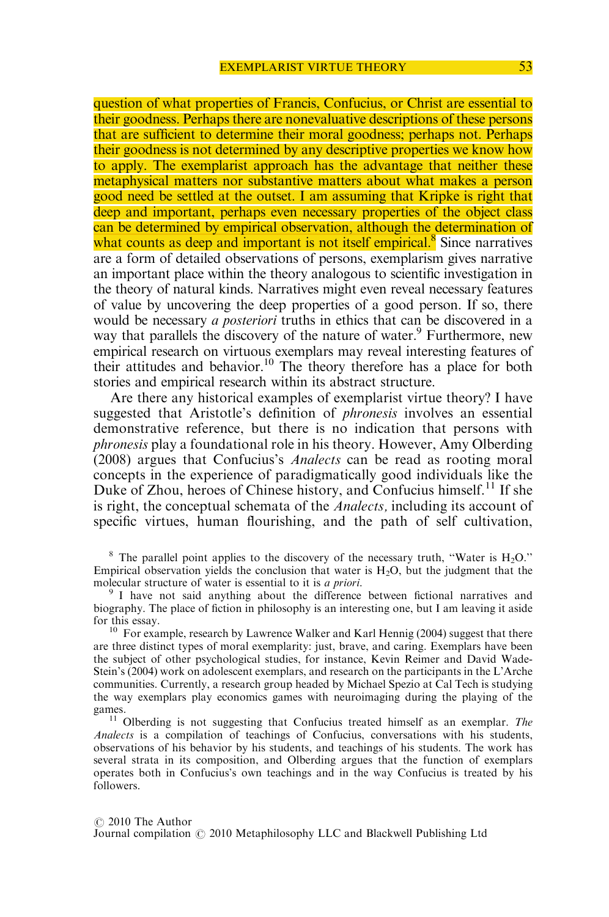question of what properties of Francis, Confucius, or Christ are essential to their goodness. Perhaps there are nonevaluative descriptions of these persons that are sufficient to determine their moral goodness; perhaps not. Perhaps their goodness is not determined by any descriptive properties we know how to apply. The exemplarist approach has the advantage that neither these metaphysical matters nor substantive matters about what makes a person good need be settled at the outset. I am assuming that Kripke is right that deep and important, perhaps even necessary properties of the object class can be determined by empirical observation, although the determination of what counts as deep and important is not itself empirical.<sup>8</sup> Since narratives are a form of detailed observations of persons, exemplarism gives narrative an important place within the theory analogous to scientific investigation in the theory of natural kinds. Narratives might even reveal necessary features of value by uncovering the deep properties of a good person. If so, there would be necessary a posteriori truths in ethics that can be discovered in a way that parallels the discovery of the nature of water.<sup>9</sup> Furthermore, new empirical research on virtuous exemplars may reveal interesting features of their attitudes and behavior.<sup>10</sup> The theory therefore has a place for both stories and empirical research within its abstract structure.

Are there any historical examples of exemplarist virtue theory? I have suggested that Aristotle's definition of phronesis involves an essential demonstrative reference, but there is no indication that persons with phronesis play a foundational role in his theory. However, Amy Olberding (2008) argues that Confucius's Analects can be read as rooting moral concepts in the experience of paradigmatically good individuals like the Duke of Zhou, heroes of Chinese history, and Confucius himself.<sup>11</sup> If she is right, the conceptual schemata of the Analects, including its account of specific virtues, human flourishing, and the path of self cultivation,

<sup>8</sup> The parallel point applies to the discovery of the necessary truth, "Water is  $H_2O$ ." Empirical observation yields the conclusion that water is  $H_2O$ , but the judgment that the molecular structure of water is essential to it is *a priori*.

<sup>9</sup> I have not said anything about the difference between fictional narratives and biography. The place of fiction in philosophy is an interesting one, but I am leaving it aside for this essay.

<sup>10</sup> For example, research by Lawrence Walker and Karl Hennig (2004) suggest that there are three distinct types of moral exemplarity: just, brave, and caring. Exemplars have been the subject of other psychological studies, for instance, Kevin Reimer and David Wade-Stein's (2004) work on adolescent exemplars, and research on the participants in the L'Arche communities. Currently, a research group headed by Michael Spezio at Cal Tech is studying the way exemplars play economics games with neuroimaging during the playing of the

 $11$  Olberding is not suggesting that Confucius treated himself as an exemplar. The Analects is a compilation of teachings of Confucius, conversations with his students, observations of his behavior by his students, and teachings of his students. The work has several strata in its composition, and Olberding argues that the function of exemplars operates both in Confucius's own teachings and in the way Confucius is treated by his followers.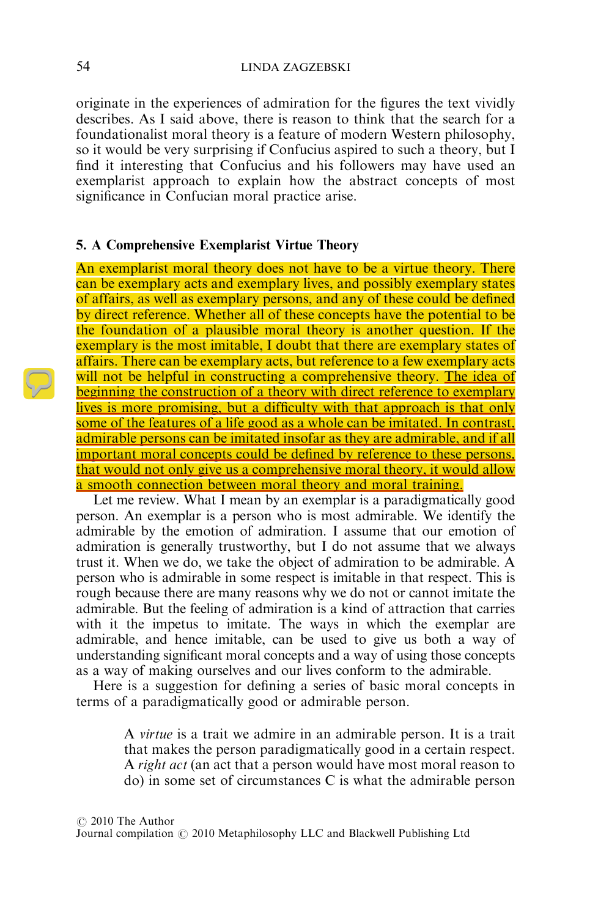originate in the experiences of admiration for the figures the text vividly describes. As I said above, there is reason to think that the search for a foundationalist moral theory is a feature of modern Western philosophy, so it would be very surprising if Confucius aspired to such a theory, but I find it interesting that Confucius and his followers may have used an exemplarist approach to explain how the abstract concepts of most significance in Confucian moral practice arise.

### 5. A Comprehensive Exemplarist Virtue Theory

An exemplarist moral theory does not have to be a virtue theory. There can be exemplary acts and exemplary lives, and possibly exemplary states of affairs, as well as exemplary persons, and any of these could be defined by direct reference. Whether all of these concepts have the potential to be the foundation of a plausible moral theory is another question. If the exemplary is the most imitable, I doubt that there are exemplary states of affairs. There can be exemplary acts, but reference to a few exemplary acts will not be helpful in constructing a comprehensive theory. The idea of beginning the construction of a theory with direct reference to exemplary lives is more promising, but a difficulty with that approach is that only some of the features of a life good as a whole can be imitated. In contrast, admirable persons can be imitated insofar as they are admirable, and if all important moral concepts could be defined by reference to these persons, that would not only give us a comprehensive moral theory, it would allow a smooth connection between moral theory and moral training.

Let me review. What I mean by an exemplar is a paradigmatically good person. An exemplar is a person who is most admirable. We identify the admirable by the emotion of admiration. I assume that our emotion of admiration is generally trustworthy, but I do not assume that we always trust it. When we do, we take the object of admiration to be admirable. A person who is admirable in some respect is imitable in that respect. This is rough because there are many reasons why we do not or cannot imitate the admirable. But the feeling of admiration is a kind of attraction that carries with it the impetus to imitate. The ways in which the exemplar are admirable, and hence imitable, can be used to give us both a way of understanding significant moral concepts and a way of using those concepts as a way of making ourselves and our lives conform to the admirable.

Here is a suggestion for defining a series of basic moral concepts in terms of a paradigmatically good or admirable person.

> A virtue is a trait we admire in an admirable person. It is a trait that makes the person paradigmatically good in a certain respect. A right act (an act that a person would have most moral reason to do) in some set of circumstances C is what the admirable person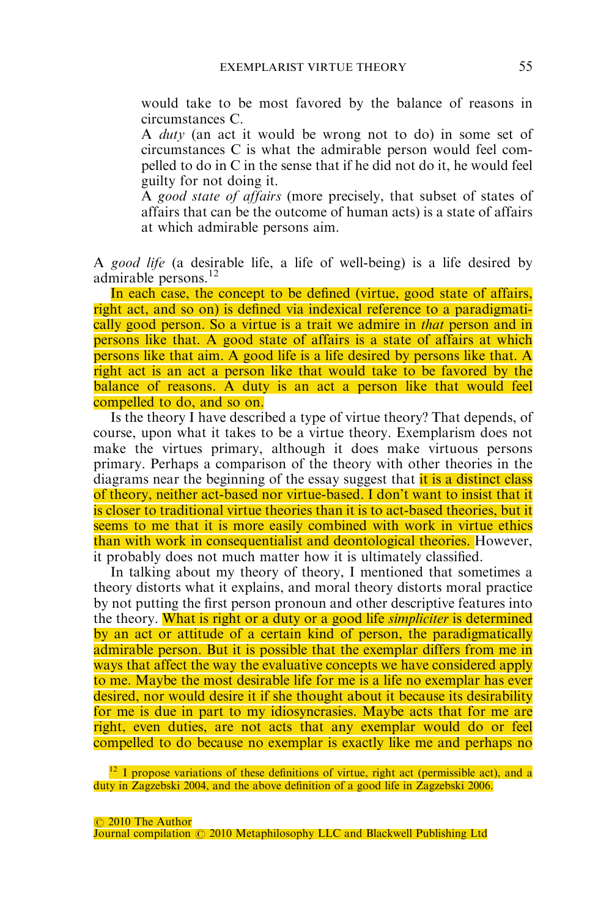would take to be most favored by the balance of reasons in circumstances C.

A duty (an act it would be wrong not to do) in some set of circumstances C is what the admirable person would feel compelled to do in C in the sense that if he did not do it, he would feel guilty for not doing it.

A good state of affairs (more precisely, that subset of states of affairs that can be the outcome of human acts) is a state of affairs at which admirable persons aim.

A good life (a desirable life, a life of well-being) is a life desired by admirable persons.<sup>12</sup>

In each case, the concept to be defined (virtue, good state of affairs, right act, and so on) is defined via indexical reference to a paradigmatically good person. So a virtue is a trait we admire in *that* person and in persons like that. A good state of affairs is a state of affairs at which persons like that aim. A good life is a life desired by persons like that. A right act is an act a person like that would take to be favored by the balance of reasons. A duty is an act a person like that would feel compelled to do, and so on.

Is the theory I have described a type of virtue theory? That depends, of course, upon what it takes to be a virtue theory. Exemplarism does not make the virtues primary, although it does make virtuous persons primary. Perhaps a comparison of the theory with other theories in the diagrams near the beginning of the essay suggest that it is a distinct class of theory, neither act-based nor virtue-based. I don't want to insist that it is closer to traditional virtue theories than it is to act-based theories, but it seems to me that it is more easily combined with work in virtue ethics than with work in consequentialist and deontological theories. However, it probably does not much matter how it is ultimately classified.

In talking about my theory of theory, I mentioned that sometimes a theory distorts what it explains, and moral theory distorts moral practice by not putting the first person pronoun and other descriptive features into the theory. What is right or a duty or a good life *simpliciter* is determined by an act or attitude of a certain kind of person, the paradigmatically admirable person. But it is possible that the exemplar differs from me in ways that affect the way the evaluative concepts we have considered apply to me. Maybe the most desirable life for me is a life no exemplar has ever desired, nor would desire it if she thought about it because its desirability for me is due in part to my idiosyncrasies. Maybe acts that for me are right, even duties, are not acts that any exemplar would do or feel compelled to do because no exemplar is exactly like me and perhaps no

 $12$  I propose variations of these definitions of virtue, right act (permissible act), and a duty in Zagzebski 2004, and the above definition of a good life in Zagzebski 2006.

Journal compilation © 2010 Metaphilosophy LLC and Blackwell Publishing Ltd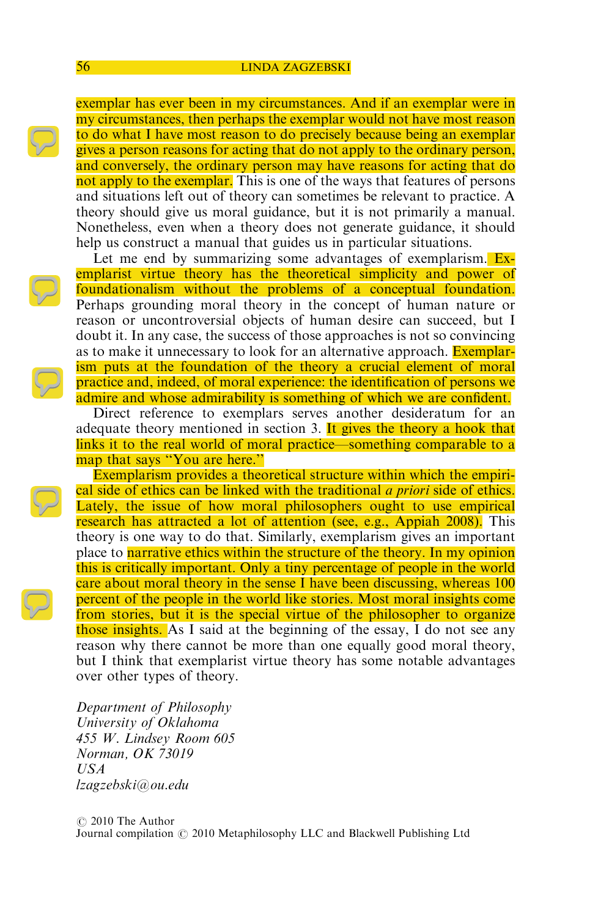exemplar has ever been in my circumstances. And if an exemplar were in my circumstances, then perhaps the exemplar would not have most reason to do what I have most reason to do precisely because being an exemplar gives a person reasons for acting that do not apply to the ordinary person, and conversely, the ordinary person may have reasons for acting that do not apply to the exemplar. This is one of the ways that features of persons and situations left out of theory can sometimes be relevant to practice. A theory should give us moral guidance, but it is not primarily a manual. Nonetheless, even when a theory does not generate guidance, it should help us construct a manual that guides us in particular situations.

Let me end by summarizing some advantages of exemplarism. Exemplarist virtue theory has the theoretical simplicity and power of foundationalism without the problems of a conceptual foundation. Perhaps grounding moral theory in the concept of human nature or reason or uncontroversial objects of human desire can succeed, but I doubt it. In any case, the success of those approaches is not so convincing as to make it unnecessary to look for an alternative approach. Exemplarism puts at the foundation of the theory a crucial element of moral practice and, indeed, of moral experience: the identification of persons we admire and whose admirability is something of which we are confident.

Direct reference to exemplars serves another desideratum for an adequate theory mentioned in section 3. It gives the theory a hook that links it to the real world of moral practice—something comparable to a map that says "You are here."

Exemplarism provides a theoretical structure within which the empirical side of ethics can be linked with the traditional *a priori* side of ethics. Lately, the issue of how moral philosophers ought to use empirical research has attracted a lot of attention (see, e.g., Appiah 2008). This theory is one way to do that. Similarly, exemplarism gives an important place to narrative ethics within the structure of the theory. In my opinion this is critically important. Only a tiny percentage of people in the world care about moral theory in the sense I have been discussing, whereas 100 percent of the people in the world like stories. Most moral insights come from stories, but it is the special virtue of the philosopher to organize those insights. As I said at the beginning of the essay, I do not see any reason why there cannot be more than one equally good moral theory, but I think that exemplarist virtue theory has some notable advantages over other types of theory.

Department of Philosophy University of Oklahoma 455 W. Lindsey Room 605 Norman, OK 73019 USA [lzagzebski@ou.edu](mailto:lzagzebski@ou.edu)

 $\odot$  2010 The Author Journal compilation  $\odot$  2010 Metaphilosophy LLC and Blackwell Publishing Ltd